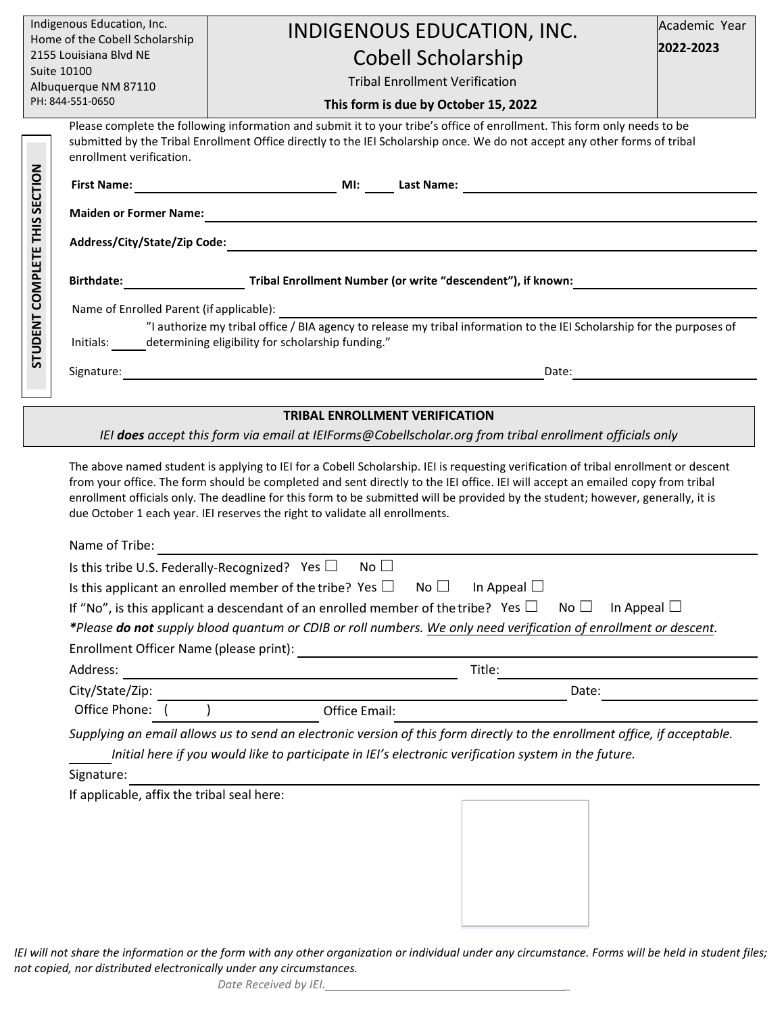| Indigenous Education, Inc.                                                                              |                                                                                                                                                                                                                                                                                                                                                                                                                                                                                                                                                                      | INDIGENOUS EDUCATION, INC.                                                                                                                                                                                                                                                                                                                                                                                                                              | Academic Year |
|---------------------------------------------------------------------------------------------------------|----------------------------------------------------------------------------------------------------------------------------------------------------------------------------------------------------------------------------------------------------------------------------------------------------------------------------------------------------------------------------------------------------------------------------------------------------------------------------------------------------------------------------------------------------------------------|---------------------------------------------------------------------------------------------------------------------------------------------------------------------------------------------------------------------------------------------------------------------------------------------------------------------------------------------------------------------------------------------------------------------------------------------------------|---------------|
| Home of the Cobell Scholarship<br>2155 Louisiana Blvd NE                                                |                                                                                                                                                                                                                                                                                                                                                                                                                                                                                                                                                                      |                                                                                                                                                                                                                                                                                                                                                                                                                                                         | 2022-2023     |
| Suite 10100                                                                                             |                                                                                                                                                                                                                                                                                                                                                                                                                                                                                                                                                                      | <b>Cobell Scholarship</b>                                                                                                                                                                                                                                                                                                                                                                                                                               |               |
|                                                                                                         | Albuquerque NM 87110                                                                                                                                                                                                                                                                                                                                                                                                                                                                                                                                                 | <b>Tribal Enrollment Verification</b>                                                                                                                                                                                                                                                                                                                                                                                                                   |               |
|                                                                                                         | PH: 844-551-0650                                                                                                                                                                                                                                                                                                                                                                                                                                                                                                                                                     | This form is due by October 15, 2022                                                                                                                                                                                                                                                                                                                                                                                                                    |               |
| STUDENT COMPLETE THIS SECTION                                                                           | enrollment verification.<br><b>First Name:</b><br><b>Maiden or Former Name:</b>                                                                                                                                                                                                                                                                                                                                                                                                                                                                                      | Please complete the following information and submit it to your tribe's office of enrollment. This form only needs to be<br>submitted by the Tribal Enrollment Office directly to the IEI Scholarship once. We do not accept any other forms of tribal<br>$\overline{\phantom{a}}$ MI: $\overline{\phantom{a}}$<br>Last Name:<br><u> 1989 - Johann Stein, marwolaethau a bhann an t-Albann an t-Albann an t-Albann an t-Albann an t-Albann an t-Alb</u> |               |
|                                                                                                         |                                                                                                                                                                                                                                                                                                                                                                                                                                                                                                                                                                      |                                                                                                                                                                                                                                                                                                                                                                                                                                                         |               |
|                                                                                                         | Address/City/State/Zip Code:                                                                                                                                                                                                                                                                                                                                                                                                                                                                                                                                         |                                                                                                                                                                                                                                                                                                                                                                                                                                                         |               |
|                                                                                                         | Birthdate: Tribal Enrollment Number (or write "descendent"), if known:                                                                                                                                                                                                                                                                                                                                                                                                                                                                                               |                                                                                                                                                                                                                                                                                                                                                                                                                                                         |               |
|                                                                                                         | Name of Enrolled Parent (if applicable):<br>illed Parent (if applicable):<br>"I authorize my tribal office / BIA agency to release my tribal information to the IEI Scholarship for the purposes of                                                                                                                                                                                                                                                                                                                                                                  |                                                                                                                                                                                                                                                                                                                                                                                                                                                         |               |
|                                                                                                         | Initials: determining eligibility for scholarship funding."                                                                                                                                                                                                                                                                                                                                                                                                                                                                                                          |                                                                                                                                                                                                                                                                                                                                                                                                                                                         |               |
|                                                                                                         | Signature:                                                                                                                                                                                                                                                                                                                                                                                                                                                                                                                                                           | Date:                                                                                                                                                                                                                                                                                                                                                                                                                                                   |               |
|                                                                                                         |                                                                                                                                                                                                                                                                                                                                                                                                                                                                                                                                                                      |                                                                                                                                                                                                                                                                                                                                                                                                                                                         |               |
|                                                                                                         |                                                                                                                                                                                                                                                                                                                                                                                                                                                                                                                                                                      | <b>TRIBAL ENROLLMENT VERIFICATION</b>                                                                                                                                                                                                                                                                                                                                                                                                                   |               |
| IEI does accept this form via email at IEIForms@Cobellscholar.org from tribal enrollment officials only |                                                                                                                                                                                                                                                                                                                                                                                                                                                                                                                                                                      |                                                                                                                                                                                                                                                                                                                                                                                                                                                         |               |
|                                                                                                         | from your office. The form should be completed and sent directly to the IEI office. IEI will accept an emailed copy from tribal<br>enrollment officials only. The deadline for this form to be submitted will be provided by the student; however, generally, it is<br>due October 1 each year. IEI reserves the right to validate all enrollments.<br>Name of Tribe:<br><u> 1980 - Jan Samuel Barbara, martin da shekara 1980 - An tsara 1980 - An tsara 1980 - An tsara 1980 - An tsara</u><br>Is this tribe U.S. Federally-Recognized? Yes $\square$ No $\square$ |                                                                                                                                                                                                                                                                                                                                                                                                                                                         |               |
|                                                                                                         |                                                                                                                                                                                                                                                                                                                                                                                                                                                                                                                                                                      |                                                                                                                                                                                                                                                                                                                                                                                                                                                         |               |
|                                                                                                         |                                                                                                                                                                                                                                                                                                                                                                                                                                                                                                                                                                      |                                                                                                                                                                                                                                                                                                                                                                                                                                                         |               |
|                                                                                                         | Is this applicant an enrolled member of the tribe? Yes $\square$ No $\square$ In Appeal $\square$<br>If "No", is this applicant a descendant of an enrolled member of the tribe? Yes $\Box$<br>No $\square$<br>In Appeal $\Box$                                                                                                                                                                                                                                                                                                                                      |                                                                                                                                                                                                                                                                                                                                                                                                                                                         |               |
|                                                                                                         | *Please do not supply blood quantum or CDIB or roll numbers. We only need verification of enrollment or descent.                                                                                                                                                                                                                                                                                                                                                                                                                                                     |                                                                                                                                                                                                                                                                                                                                                                                                                                                         |               |
| Enrollment Officer Name (please print):                                                                 |                                                                                                                                                                                                                                                                                                                                                                                                                                                                                                                                                                      |                                                                                                                                                                                                                                                                                                                                                                                                                                                         |               |
|                                                                                                         | Address:                                                                                                                                                                                                                                                                                                                                                                                                                                                                                                                                                             | Title:                                                                                                                                                                                                                                                                                                                                                                                                                                                  |               |
|                                                                                                         | City/State/Zip:                                                                                                                                                                                                                                                                                                                                                                                                                                                                                                                                                      | Date:                                                                                                                                                                                                                                                                                                                                                                                                                                                   |               |
|                                                                                                         | Office Phone: (                                                                                                                                                                                                                                                                                                                                                                                                                                                                                                                                                      | Office Email:                                                                                                                                                                                                                                                                                                                                                                                                                                           |               |
|                                                                                                         | Supplying an email allows us to send an electronic version of this form directly to the enrollment office, if acceptable.<br>Initial here if you would like to participate in IEI's electronic verification system in the future.<br>Signature:                                                                                                                                                                                                                                                                                                                      |                                                                                                                                                                                                                                                                                                                                                                                                                                                         |               |
|                                                                                                         | If applicable, affix the tribal seal here:                                                                                                                                                                                                                                                                                                                                                                                                                                                                                                                           |                                                                                                                                                                                                                                                                                                                                                                                                                                                         |               |
|                                                                                                         |                                                                                                                                                                                                                                                                                                                                                                                                                                                                                                                                                                      |                                                                                                                                                                                                                                                                                                                                                                                                                                                         |               |
|                                                                                                         |                                                                                                                                                                                                                                                                                                                                                                                                                                                                                                                                                                      |                                                                                                                                                                                                                                                                                                                                                                                                                                                         |               |
|                                                                                                         |                                                                                                                                                                                                                                                                                                                                                                                                                                                                                                                                                                      |                                                                                                                                                                                                                                                                                                                                                                                                                                                         |               |
|                                                                                                         |                                                                                                                                                                                                                                                                                                                                                                                                                                                                                                                                                                      |                                                                                                                                                                                                                                                                                                                                                                                                                                                         |               |
|                                                                                                         |                                                                                                                                                                                                                                                                                                                                                                                                                                                                                                                                                                      |                                                                                                                                                                                                                                                                                                                                                                                                                                                         |               |
|                                                                                                         |                                                                                                                                                                                                                                                                                                                                                                                                                                                                                                                                                                      |                                                                                                                                                                                                                                                                                                                                                                                                                                                         |               |
|                                                                                                         |                                                                                                                                                                                                                                                                                                                                                                                                                                                                                                                                                                      |                                                                                                                                                                                                                                                                                                                                                                                                                                                         |               |

*IEI will not share the information or the form with any other organization or individual under any circumstance. Forms will be held in student files; not copied, nor distributed electronically under any circumstances.*